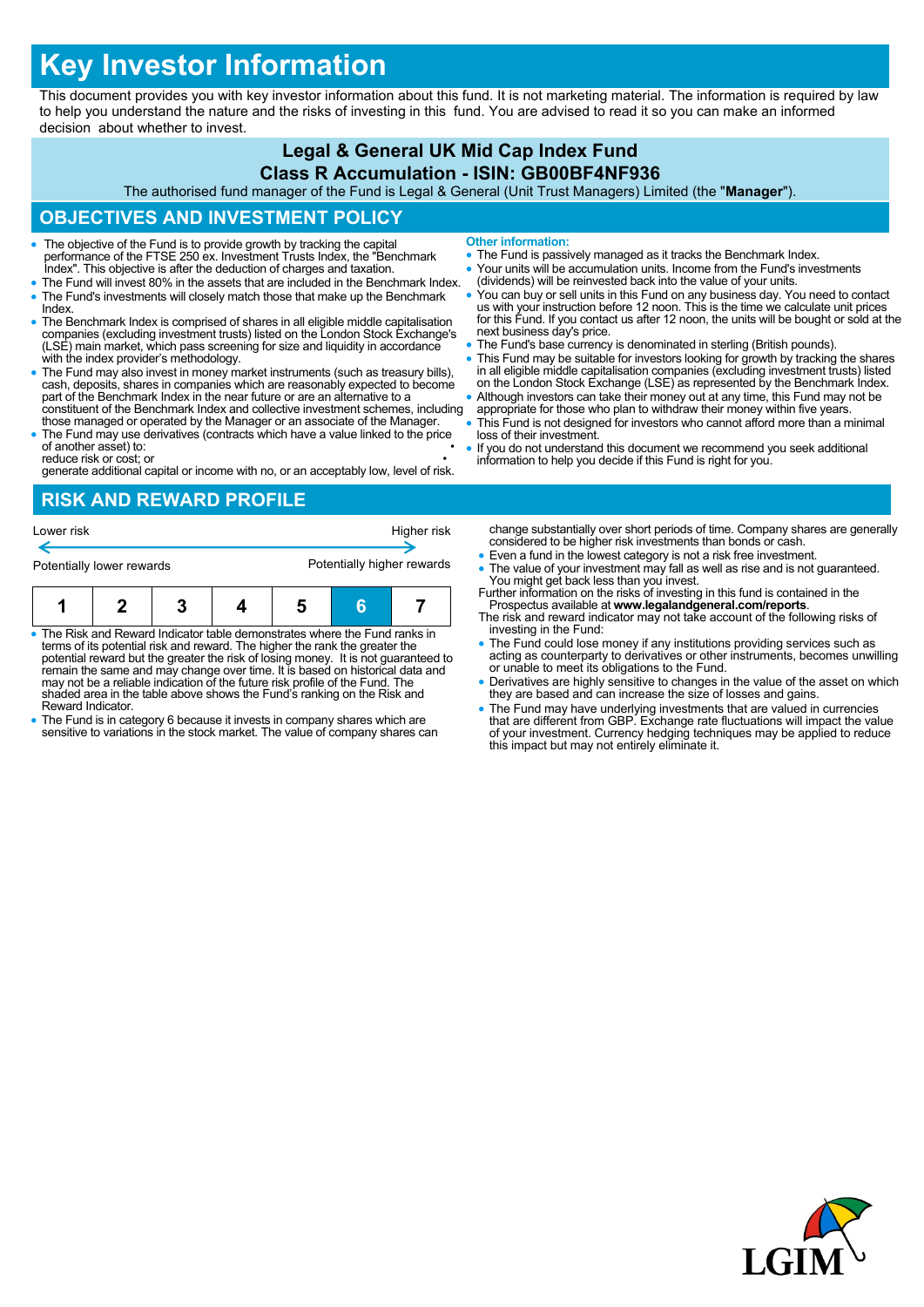# **Key Investor Information**

This document provides you with key investor information about this fund. It is not marketing material. The information is required by law to help you understand the nature and the risks of investing in this fund. You are advised to read it so you can make an informed decision about whether to invest.

#### **Legal & General UK Mid Cap Index Fund Class R Accumulation - ISIN: GB00BF4NF936**

The authorised fund manager of the Fund is Legal & General (Unit Trust Managers) Limited (the "**Manager**").

## **OBJECTIVES AND INVESTMENT POLICY**

- The objective of the Fund is to provide growth by tracking the capital performance of the FTSE 250 ex. Investment Trusts Index, the "Benchmark Index". This objective is after the deduction of charges and taxation.
- The Fund will invest 80% in the assets that are included in the Benchmark Index. The Fund's investments will closely match those that make up the Benchmark Index.
- The Benchmark Index is comprised of shares in all eligible middle capitalisation companies (excluding investment trusts) listed on the London Stock Exchange's (LSE) main market, which pass screening for size and liquidity in accordance with the index provider's methodology.
- The Fund may also invest in money market instruments (such as treasury bills), cash, deposits, shares in companies which are reasonably expected to become part of the Benchmark Index in the near future or are an alternat constituent of the Benchmark Index and collective investment schemes, including
- those managed or operated by the Manager or an associate of the Manager. The Fund may use derivatives (contracts which have a value linked to the price of another asset) to:

reduce risk or cost; or • generate additional capital or income with no, or an acceptably low, level of risk.

# **RISK AND REWARD PROFILE**

| Potentially lower rewards |  |  |  | Potentially higher rewards |  |  |
|---------------------------|--|--|--|----------------------------|--|--|
|                           |  |  |  | Higher risk                |  |  |
| Lower risk                |  |  |  |                            |  |  |

- The Risk and Reward Indicator table demonstrates where the Fund ranks in terms of its potential risk and reward. The higher the rank the greater the potential reward but the greater the risk of losing money. It is not guaranteed to remain the same and may change over time. It is based on historical data and may not be a reliable indication of the future risk profile of the Fund. The shaded area in the table above shows the Fund's ranking on the Risk and Reward Indicator.
- The Fund is in category 6 because it invests in company shares which are sensitive to variations in the stock market. The value of company shares can
- **Other information:**
- The Fund is passively managed as it tracks the Benchmark Index.
- Your units will be accumulation units. Income from the Fund's investments (dividends) will be reinvested back into the value of your units.
- You can buy or sell units in this Fund on any business day. You need to contact<br>us with your instruction before 12 noon. This is the time we calculate unit prices<br>for this Fund. If you contact us after 12 noon, the units next business day's price.
- The Fund's base currency is denominated in sterling (British pounds).
- This Fund may be suitable for investors looking for growth by tracking the shares in all eligible middle capitalisation companies (excluding investment trusts) listed on the London Stock Exchange (LSE) as represented by the Benchmark Index.
- Although investors can take their money out at any time, this Fund may not be appropriate for those who plan to withdraw their money within five years.
- This Fund is not designed for investors who cannot afford more than a minimal loss of their investment.
- If you do not understand this document we recommend you seek additional information to help you decide if this Fund is right for you.

change substantially over short periods of time. Company shares are generally considered to be higher risk investments than bonds or cash.

- Even a fund in the lowest category is not a risk free investment.
- The value of your investment may fall as well as rise and is not guaranteed. You might get back less than you invest. Further information on the risks of investing in this fund is contained in the
- Prospectus available at **www.legalandgeneral.com/reports**. The risk and reward indicator may not take account of the following risks of
- investing in the Fund: The Fund could lose money if any institutions providing services such as acting as counterparty to derivatives or other instruments, becomes unwilling or unable to meet its obligations to the Fund.
- Derivatives are highly sensitive to changes in the value of the asset on which they are based and can increase the size of losses and gains.
- The Fund may have underlying investments that are valued in currencies<br>that are different from GBP. Exchange rate fluctuations will impact the value<br>of your investment. Currency hedging techniques may be applied to reduc